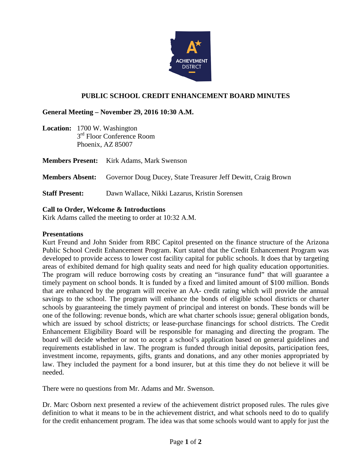

## **PUBLIC SCHOOL CREDIT ENHANCEMENT BOARD MINUTES**

### **General Meeting – November 29, 2016 10:30 A.M.**

**Location:** 1700 W. Washington 3<sup>rd</sup> Floor Conference Room Phoenix, AZ 85007

|                       | <b>Members Present:</b> Kirk Adams, Mark Swenson                                     |
|-----------------------|--------------------------------------------------------------------------------------|
|                       | <b>Members Absent:</b> Governor Doug Ducey, State Treasurer Jeff Dewitt, Craig Brown |
| <b>Staff Present:</b> | Dawn Wallace, Nikki Lazarus, Kristin Sorensen                                        |

#### **Call to Order, Welcome & Introductions**

Kirk Adams called the meeting to order at 10:32 A.M.

#### **Presentations**

Kurt Freund and John Snider from RBC Capitol presented on the finance structure of the Arizona Public School Credit Enhancement Program. Kurt stated that the Credit Enhancement Program was developed to provide access to lower cost facility capital for public schools. It does that by targeting areas of exhibited demand for high quality seats and need for high quality education opportunities. The program will reduce borrowing costs by creating an "insurance fund" that will guarantee a timely payment on school bonds. It is funded by a fixed and limited amount of \$100 million. Bonds that are enhanced by the program will receive an AA- credit rating which will provide the annual savings to the school. The program will enhance the bonds of eligible school districts or charter schools by guaranteeing the timely payment of principal and interest on bonds. These bonds will be one of the following: revenue bonds, which are what charter schools issue; general obligation bonds, which are issued by school districts; or lease-purchase financings for school districts. The Credit Enhancement Eligibility Board will be responsible for managing and directing the program. The board will decide whether or not to accept a school's application based on general guidelines and requirements established in law. The program is funded through initial deposits, participation fees, investment income, repayments, gifts, grants and donations, and any other monies appropriated by law. They included the payment for a bond insurer, but at this time they do not believe it will be needed.

There were no questions from Mr. Adams and Mr. Swenson.

Dr. Marc Osborn next presented a review of the achievement district proposed rules. The rules give definition to what it means to be in the achievement district, and what schools need to do to qualify for the credit enhancement program. The idea was that some schools would want to apply for just the